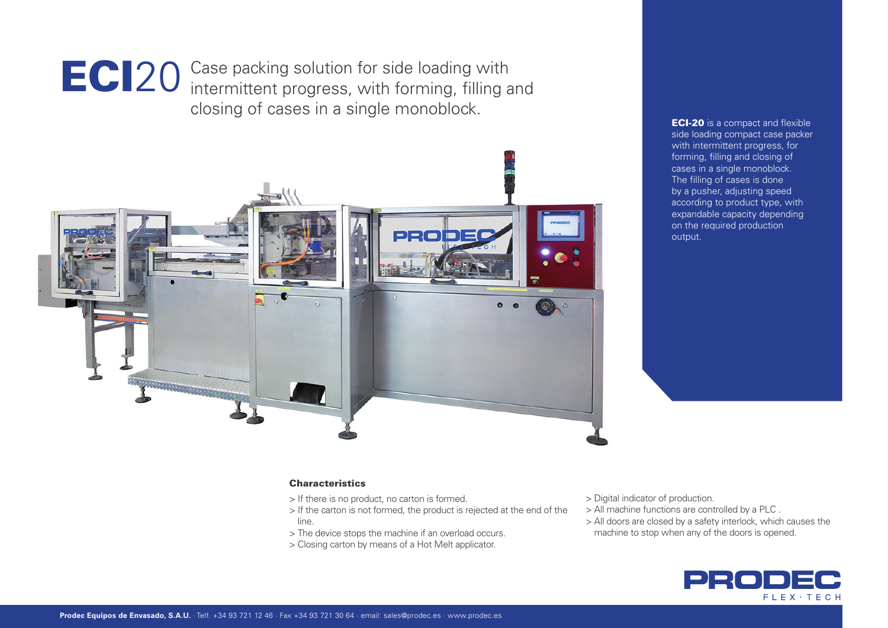

ECI20 Case packing solution for side loading with<br>
ECI20 intermittent progress, with forming, filling and closing of cases in a single monoblock.



**ECI-20** is a compact and flexible side loading compact case packer with intermittent progress, for forming, filling and closing of cases in a single monoblock. The filling of cases is done by a pusher, adjusting speed according to product type, with expandable capacity depending on the required production output.

# **Characteristics**

- > If there is no product, no carton is formed.
- > If the carton is not formed, the product is rejected at the end of the line.
- > The device stops the machine if an overload occurs.
- > Closing carton by means of a Hot Melt applicator.
- > Digital indicator of production.
- > All machine functions are controlled by a PLC .
- > All doors are closed by a safety interlock, which causes the
- machine to stop when any of the doors is opened.